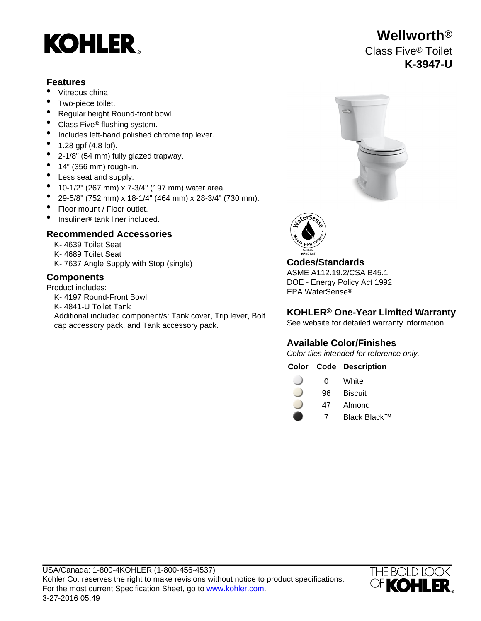# **KOHLER**

### **Features**

- Vitreous china.
- Two-piece toilet.
- Regular height Round-front bowl.
- Class Five<sup>®</sup> flushing system.
- Includes left-hand polished chrome trip lever.
- 1.28 gpf (4.8 lpf).
- 2-1/8" (54 mm) fully glazed trapway.
- $\bullet$  14" (356 mm) rough-in.
- Less seat and supply.
- 10-1/2" (267 mm) x 7-3/4" (197 mm) water area.
- 29-5/8" (752 mm) x 18-1/4" (464 mm) x 28-3/4" (730 mm).
- Floor mount / Floor outlet.
- Insuliner<sup>®</sup> tank liner included.

# **Recommended Accessories**

- K- 4639 Toilet Seat
- K- 4689 Toilet Seat
- K- 7637 Angle Supply with Stop (single) **Codes/Standards**

Product includes:

- K- 4197 Round-Front Bowl
- K- 4841-U Toilet Tank
- Additional included component/s: Tank cover, Trip lever, Bolt cap accessory pack, and Tank accessory pack.





ASME A112.19.2/CSA B45.1 **Components** DOE - Energy Policy Act 1992 EPA WaterSense®

## **KOHLER® One-Year Limited Warranty**

See website for detailed warranty information.

# **Available Color/Finishes**

Color tiles intended for reference only.

### **Color Code Description**

| 0 | White |
|---|-------|
|   |       |

- 96 Biscuit
- 47 Almond
	- 7 Black Black™



# **Wellworth®** Class Five® Toilet **K-3947-U**